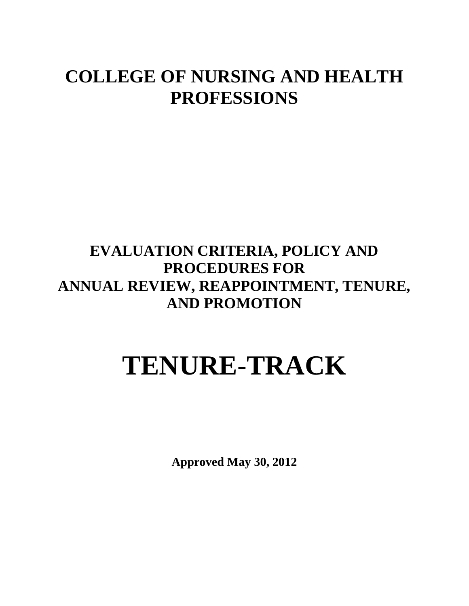# **COLLEGE OF NURSING AND HEALTH PROFESSIONS**

## **EVALUATION CRITERIA, POLICY AND PROCEDURES FOR ANNUAL REVIEW, REAPPOINTMENT, TENURE, AND PROMOTION**

# **TENURE-TRACK**

**Approved May 30, 2012**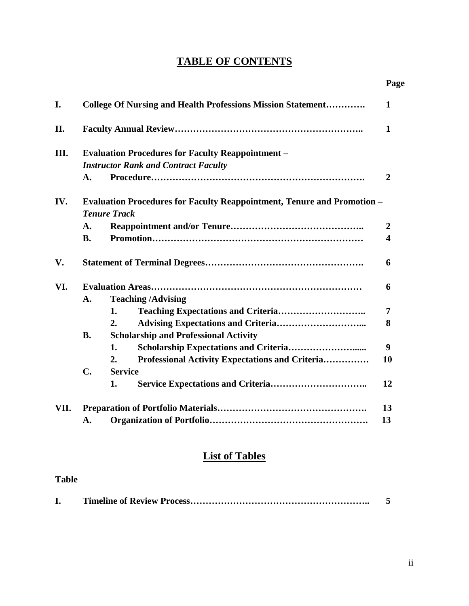## **TABLE OF CONTENTS**

|      |                                                                                                       |                                                                    | Page             |  |  |
|------|-------------------------------------------------------------------------------------------------------|--------------------------------------------------------------------|------------------|--|--|
| I.   |                                                                                                       | <b>College Of Nursing and Health Professions Mission Statement</b> | 1                |  |  |
| II.  |                                                                                                       |                                                                    | $\mathbf 1$      |  |  |
| III. | <b>Evaluation Procedures for Faculty Reappointment -</b>                                              |                                                                    |                  |  |  |
|      | <b>Instructor Rank and Contract Faculty</b>                                                           |                                                                    |                  |  |  |
|      | A.                                                                                                    |                                                                    | $\overline{2}$   |  |  |
| IV.  | <b>Evaluation Procedures for Faculty Reappointment, Tenure and Promotion -</b><br><b>Tenure Track</b> |                                                                    |                  |  |  |
|      | A.                                                                                                    |                                                                    | $\boldsymbol{2}$ |  |  |
|      | <b>B.</b>                                                                                             |                                                                    | 4                |  |  |
| V.   |                                                                                                       |                                                                    | 6                |  |  |
| VI.  |                                                                                                       |                                                                    |                  |  |  |
|      | A.                                                                                                    | <b>Teaching /Advising</b>                                          |                  |  |  |
|      |                                                                                                       | 1.                                                                 | 7                |  |  |
|      |                                                                                                       | 2.                                                                 | 8                |  |  |
|      | <b>B.</b>                                                                                             | <b>Scholarship and Professional Activity</b>                       |                  |  |  |
|      |                                                                                                       | 1.                                                                 | 9                |  |  |
|      |                                                                                                       | Professional Activity Expectations and Criteria<br>2.              | 10               |  |  |
|      | C.                                                                                                    | <b>Service</b>                                                     |                  |  |  |
|      |                                                                                                       | 1.                                                                 | 12               |  |  |
| VII. |                                                                                                       |                                                                    |                  |  |  |
|      | A.                                                                                                    |                                                                    | 13               |  |  |

### **List of Tables**

#### **Table**

| ı. |  |
|----|--|
|    |  |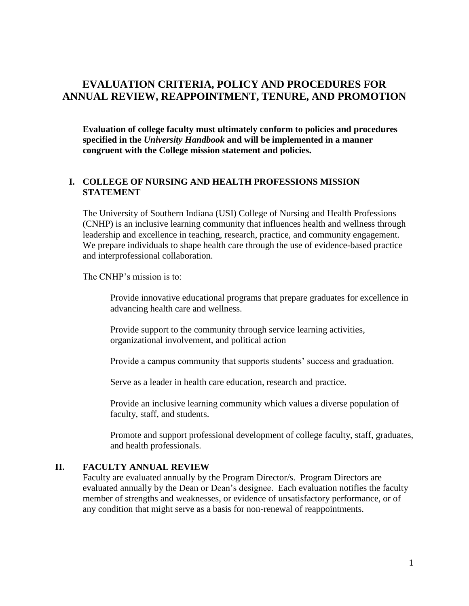#### **EVALUATION CRITERIA, POLICY AND PROCEDURES FOR ANNUAL REVIEW, REAPPOINTMENT, TENURE, AND PROMOTION**

**Evaluation of college faculty must ultimately conform to policies and procedures specified in the** *University Handbook* **and will be implemented in a manner congruent with the College mission statement and policies.**

#### **I. COLLEGE OF NURSING AND HEALTH PROFESSIONS MISSION STATEMENT**

The University of Southern Indiana (USI) College of Nursing and Health Professions (CNHP) is an inclusive learning community that influences health and wellness through leadership and excellence in teaching, research, practice, and community engagement. We prepare individuals to shape health care through the use of evidence-based practice and interprofessional collaboration.

The CNHP's mission is to:

Provide innovative educational programs that prepare graduates for excellence in advancing health care and wellness.

Provide support to the community through service learning activities, organizational involvement, and political action

Provide a campus community that supports students' success and graduation.

Serve as a leader in health care education, research and practice.

Provide an inclusive learning community which values a diverse population of faculty, staff, and students.

Promote and support professional development of college faculty, staff, graduates, and health professionals.

#### **II. FACULTY ANNUAL REVIEW**

Faculty are evaluated annually by the Program Director/s. Program Directors are evaluated annually by the Dean or Dean's designee. Each evaluation notifies the faculty member of strengths and weaknesses, or evidence of unsatisfactory performance, or of any condition that might serve as a basis for non-renewal of reappointments.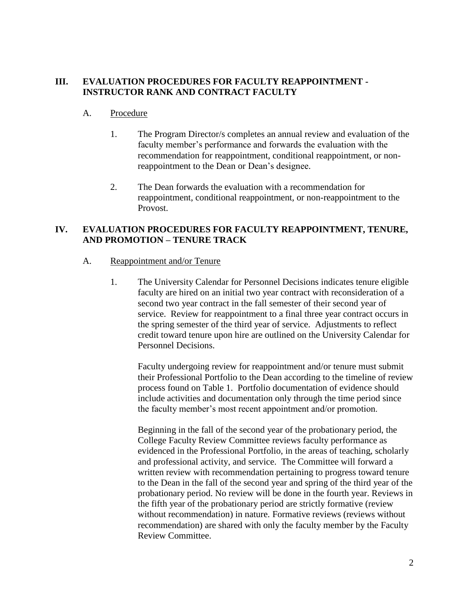#### **III. EVALUATION PROCEDURES FOR FACULTY REAPPOINTMENT - INSTRUCTOR RANK AND CONTRACT FACULTY**

#### A. Procedure

- 1. The Program Director/s completes an annual review and evaluation of the faculty member's performance and forwards the evaluation with the recommendation for reappointment, conditional reappointment, or nonreappointment to the Dean or Dean's designee.
- 2. The Dean forwards the evaluation with a recommendation for reappointment, conditional reappointment, or non-reappointment to the Provost.

#### **IV. EVALUATION PROCEDURES FOR FACULTY REAPPOINTMENT, TENURE, AND PROMOTION – TENURE TRACK**

- A. Reappointment and/or Tenure
	- 1. The University Calendar for Personnel Decisions indicates tenure eligible faculty are hired on an initial two year contract with reconsideration of a second two year contract in the fall semester of their second year of service. Review for reappointment to a final three year contract occurs in the spring semester of the third year of service. Adjustments to reflect credit toward tenure upon hire are outlined on the University Calendar for Personnel Decisions.

Faculty undergoing review for reappointment and/or tenure must submit their Professional Portfolio to the Dean according to the timeline of review process found on Table 1. Portfolio documentation of evidence should include activities and documentation only through the time period since the faculty member's most recent appointment and/or promotion.

Beginning in the fall of the second year of the probationary period, the College Faculty Review Committee reviews faculty performance as evidenced in the Professional Portfolio, in the areas of teaching, scholarly and professional activity, and service. The Committee will forward a written review with recommendation pertaining to progress toward tenure to the Dean in the fall of the second year and spring of the third year of the probationary period. No review will be done in the fourth year. Reviews in the fifth year of the probationary period are strictly formative (review without recommendation) in nature. Formative reviews (reviews without recommendation) are shared with only the faculty member by the Faculty Review Committee.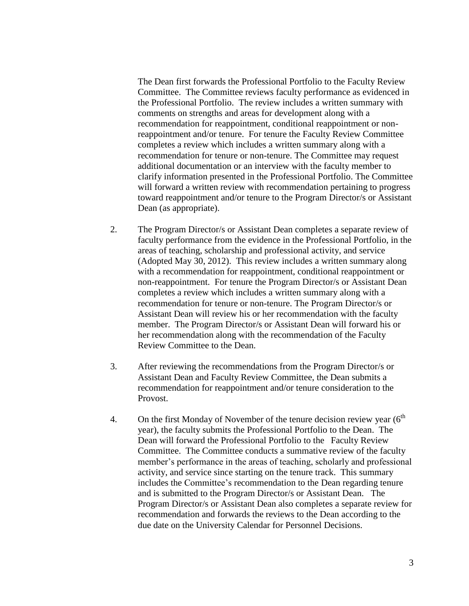The Dean first forwards the Professional Portfolio to the Faculty Review Committee. The Committee reviews faculty performance as evidenced in the Professional Portfolio. The review includes a written summary with comments on strengths and areas for development along with a recommendation for reappointment, conditional reappointment or nonreappointment and/or tenure. For tenure the Faculty Review Committee completes a review which includes a written summary along with a recommendation for tenure or non-tenure. The Committee may request additional documentation or an interview with the faculty member to clarify information presented in the Professional Portfolio. The Committee will forward a written review with recommendation pertaining to progress toward reappointment and/or tenure to the Program Director/s or Assistant Dean (as appropriate).

- 2. The Program Director/s or Assistant Dean completes a separate review of faculty performance from the evidence in the Professional Portfolio, in the areas of teaching, scholarship and professional activity, and service (Adopted May 30, 2012). This review includes a written summary along with a recommendation for reappointment, conditional reappointment or non-reappointment. For tenure the Program Director/s or Assistant Dean completes a review which includes a written summary along with a recommendation for tenure or non-tenure. The Program Director/s or Assistant Dean will review his or her recommendation with the faculty member. The Program Director/s or Assistant Dean will forward his or her recommendation along with the recommendation of the Faculty Review Committee to the Dean.
- 3. After reviewing the recommendations from the Program Director/s or Assistant Dean and Faculty Review Committee, the Dean submits a recommendation for reappointment and/or tenure consideration to the Provost.
- 4. On the first Monday of November of the tenure decision review year  $(6<sup>th</sup>$ year), the faculty submits the Professional Portfolio to the Dean. The Dean will forward the Professional Portfolio to the Faculty Review Committee. The Committee conducts a summative review of the faculty member's performance in the areas of teaching, scholarly and professional activity, and service since starting on the tenure track. This summary includes the Committee's recommendation to the Dean regarding tenure and is submitted to the Program Director/s or Assistant Dean. The Program Director/s or Assistant Dean also completes a separate review for recommendation and forwards the reviews to the Dean according to the due date on the University Calendar for Personnel Decisions.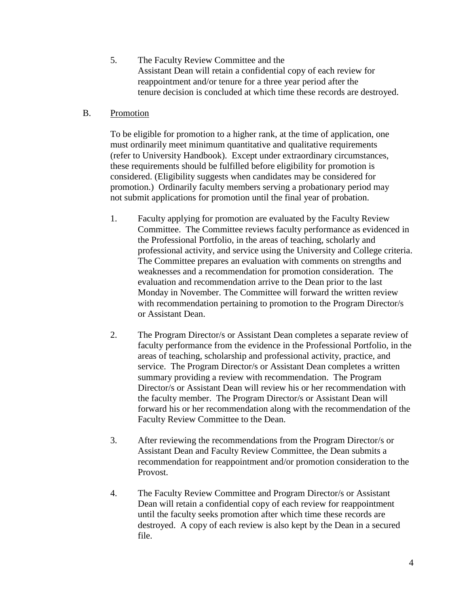5. The Faculty Review Committee and the Assistant Dean will retain a confidential copy of each review for reappointment and/or tenure for a three year period after the tenure decision is concluded at which time these records are destroyed.

#### B. Promotion

To be eligible for promotion to a higher rank, at the time of application, one must ordinarily meet minimum quantitative and qualitative requirements (refer to University Handbook). Except under extraordinary circumstances, these requirements should be fulfilled before eligibility for promotion is considered. (Eligibility suggests when candidates may be considered for promotion.) Ordinarily faculty members serving a probationary period may not submit applications for promotion until the final year of probation.

- 1. Faculty applying for promotion are evaluated by the Faculty Review Committee. The Committee reviews faculty performance as evidenced in the Professional Portfolio, in the areas of teaching, scholarly and professional activity, and service using the University and College criteria. The Committee prepares an evaluation with comments on strengths and weaknesses and a recommendation for promotion consideration. The evaluation and recommendation arrive to the Dean prior to the last Monday in November. The Committee will forward the written review with recommendation pertaining to promotion to the Program Director/s or Assistant Dean.
- 2. The Program Director/s or Assistant Dean completes a separate review of faculty performance from the evidence in the Professional Portfolio, in the areas of teaching, scholarship and professional activity, practice, and service. The Program Director/s or Assistant Dean completes a written summary providing a review with recommendation. The Program Director/s or Assistant Dean will review his or her recommendation with the faculty member. The Program Director/s or Assistant Dean will forward his or her recommendation along with the recommendation of the Faculty Review Committee to the Dean.
- 3. After reviewing the recommendations from the Program Director/s or Assistant Dean and Faculty Review Committee, the Dean submits a recommendation for reappointment and/or promotion consideration to the Provost.
- 4. The Faculty Review Committee and Program Director/s or Assistant Dean will retain a confidential copy of each review for reappointment until the faculty seeks promotion after which time these records are destroyed. A copy of each review is also kept by the Dean in a secured file.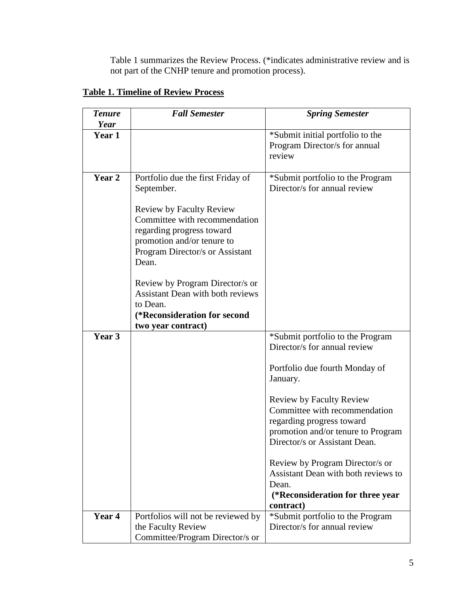Table 1 summarizes the Review Process. (\*indicates administrative review and is not part of the CNHP tenure and promotion process).

| <b>Tenure</b><br>Year | <b>Fall Semester</b>                                                                                                                                                                     | <b>Spring Semester</b>                                                                                                                                                                                                                                                                                                                                                                                                     |
|-----------------------|------------------------------------------------------------------------------------------------------------------------------------------------------------------------------------------|----------------------------------------------------------------------------------------------------------------------------------------------------------------------------------------------------------------------------------------------------------------------------------------------------------------------------------------------------------------------------------------------------------------------------|
| Year 1                |                                                                                                                                                                                          | *Submit initial portfolio to the<br>Program Director/s for annual<br>review                                                                                                                                                                                                                                                                                                                                                |
| Year 2                | Portfolio due the first Friday of<br>September.<br><b>Review by Faculty Review</b><br>Committee with recommendation<br>regarding progress toward<br>promotion and/or tenure to           | *Submit portfolio to the Program<br>Director/s for annual review                                                                                                                                                                                                                                                                                                                                                           |
|                       | Program Director/s or Assistant<br>Dean.<br>Review by Program Director/s or<br><b>Assistant Dean with both reviews</b><br>to Dean.<br>(*Reconsideration for second<br>two year contract) |                                                                                                                                                                                                                                                                                                                                                                                                                            |
| Year 3                |                                                                                                                                                                                          | *Submit portfolio to the Program<br>Director/s for annual review<br>Portfolio due fourth Monday of<br>January.<br><b>Review by Faculty Review</b><br>Committee with recommendation<br>regarding progress toward<br>promotion and/or tenure to Program<br>Director/s or Assistant Dean.<br>Review by Program Director/s or<br>Assistant Dean with both reviews to<br>Dean.<br>(*Reconsideration for three year<br>contract) |
| Year 4                | Portfolios will not be reviewed by<br>the Faculty Review<br>Committee/Program Director/s or                                                                                              | *Submit portfolio to the Program<br>Director/s for annual review                                                                                                                                                                                                                                                                                                                                                           |

#### **Table 1. Timeline of Review Process**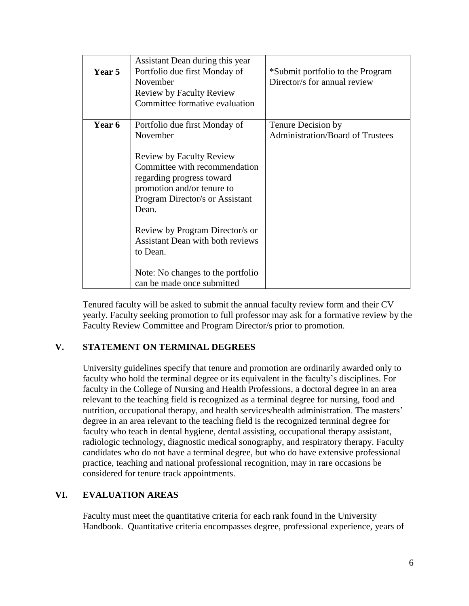|               | Assistant Dean during this year         |                                         |
|---------------|-----------------------------------------|-----------------------------------------|
| Year 5        | Portfolio due first Monday of           | *Submit portfolio to the Program        |
|               | November                                | Director/s for annual review            |
|               | <b>Review by Faculty Review</b>         |                                         |
|               | Committee formative evaluation          |                                         |
|               |                                         |                                         |
| <b>Year 6</b> | Portfolio due first Monday of           | Tenure Decision by                      |
|               | November                                | <b>Administration/Board of Trustees</b> |
|               |                                         |                                         |
|               | <b>Review by Faculty Review</b>         |                                         |
|               | Committee with recommendation           |                                         |
|               | regarding progress toward               |                                         |
|               | promotion and/or tenure to              |                                         |
|               | Program Director/s or Assistant         |                                         |
|               | Dean.                                   |                                         |
|               |                                         |                                         |
|               | Review by Program Director/s or         |                                         |
|               | <b>Assistant Dean with both reviews</b> |                                         |
|               | to Dean.                                |                                         |
|               |                                         |                                         |
|               | Note: No changes to the portfolio       |                                         |
|               | can be made once submitted              |                                         |

Tenured faculty will be asked to submit the annual faculty review form and their CV yearly. Faculty seeking promotion to full professor may ask for a formative review by the Faculty Review Committee and Program Director/s prior to promotion.

#### **V. STATEMENT ON TERMINAL DEGREES**

University guidelines specify that tenure and promotion are ordinarily awarded only to faculty who hold the terminal degree or its equivalent in the faculty's disciplines. For faculty in the College of Nursing and Health Professions, a doctoral degree in an area relevant to the teaching field is recognized as a terminal degree for nursing, food and nutrition, occupational therapy, and health services/health administration. The masters' degree in an area relevant to the teaching field is the recognized terminal degree for faculty who teach in dental hygiene, dental assisting, occupational therapy assistant, radiologic technology, diagnostic medical sonography, and respiratory therapy. Faculty candidates who do not have a terminal degree, but who do have extensive professional practice, teaching and national professional recognition, may in rare occasions be considered for tenure track appointments.

#### **VI. EVALUATION AREAS**

Faculty must meet the quantitative criteria for each rank found in the University Handbook. Quantitative criteria encompasses degree, professional experience, years of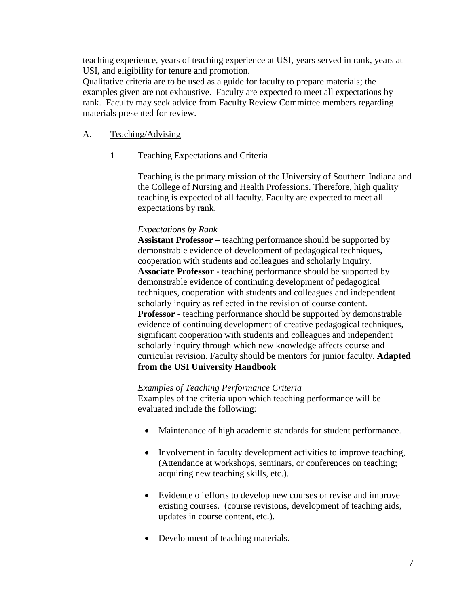teaching experience, years of teaching experience at USI, years served in rank, years at USI, and eligibility for tenure and promotion.

Qualitative criteria are to be used as a guide for faculty to prepare materials; the examples given are not exhaustive. Faculty are expected to meet all expectations by rank. Faculty may seek advice from Faculty Review Committee members regarding materials presented for review.

#### A. Teaching/Advising

1. Teaching Expectations and Criteria

Teaching is the primary mission of the University of Southern Indiana and the College of Nursing and Health Professions. Therefore, high quality teaching is expected of all faculty. Faculty are expected to meet all expectations by rank.

#### *Expectations by Rank*

**Assistant Professor –** teaching performance should be supported by demonstrable evidence of development of pedagogical techniques, cooperation with students and colleagues and scholarly inquiry. **Associate Professor -** teaching performance should be supported by demonstrable evidence of continuing development of pedagogical techniques, cooperation with students and colleagues and independent scholarly inquiry as reflected in the revision of course content. **Professor** - teaching performance should be supported by demonstrable evidence of continuing development of creative pedagogical techniques, significant cooperation with students and colleagues and independent scholarly inquiry through which new knowledge affects course and curricular revision. Faculty should be mentors for junior faculty. **Adapted from the USI University Handbook**

#### *Examples of Teaching Performance Criteria*

Examples of the criteria upon which teaching performance will be evaluated include the following:

- Maintenance of high academic standards for student performance.
- Involvement in faculty development activities to improve teaching, (Attendance at workshops, seminars, or conferences on teaching; acquiring new teaching skills, etc.).
- Evidence of efforts to develop new courses or revise and improve existing courses. (course revisions, development of teaching aids, updates in course content, etc.).
- Development of teaching materials.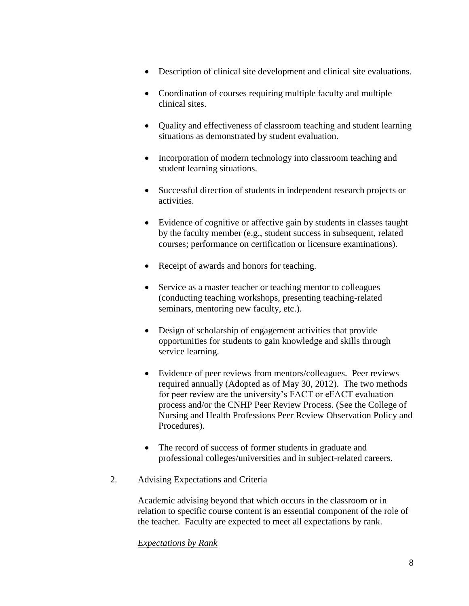- Description of clinical site development and clinical site evaluations.
- Coordination of courses requiring multiple faculty and multiple clinical sites.
- Quality and effectiveness of classroom teaching and student learning situations as demonstrated by student evaluation.
- Incorporation of modern technology into classroom teaching and student learning situations.
- Successful direction of students in independent research projects or activities.
- Evidence of cognitive or affective gain by students in classes taught by the faculty member (e.g., student success in subsequent, related courses; performance on certification or licensure examinations).
- Receipt of awards and honors for teaching.
- Service as a master teacher or teaching mentor to colleagues (conducting teaching workshops, presenting teaching-related seminars, mentoring new faculty, etc.).
- Design of scholarship of engagement activities that provide opportunities for students to gain knowledge and skills through service learning.
- Evidence of peer reviews from mentors/colleagues. Peer reviews required annually (Adopted as of May 30, 2012). The two methods for peer review are the university's FACT or eFACT evaluation process and/or the CNHP Peer Review Process. (See the College of Nursing and Health Professions Peer Review Observation Policy and Procedures).
- The record of success of former students in graduate and professional colleges/universities and in subject-related careers.
- 2. Advising Expectations and Criteria

Academic advising beyond that which occurs in the classroom or in relation to specific course content is an essential component of the role of the teacher. Faculty are expected to meet all expectations by rank.

#### *Expectations by Rank*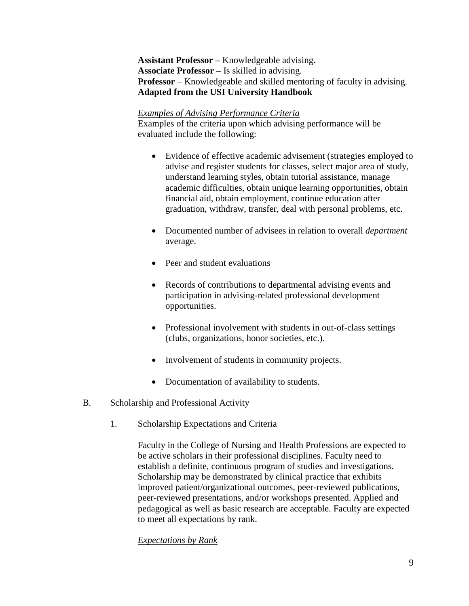**Assistant Professor –** Knowledgeable advising**. Associate Professor –** Is skilled in advising. **Professor** – Knowledgeable and skilled mentoring of faculty in advising. **Adapted from the USI University Handbook**

#### *Examples of Advising Performance Criteria*

Examples of the criteria upon which advising performance will be evaluated include the following:

- Evidence of effective academic advisement (strategies employed to advise and register students for classes, select major area of study, understand learning styles, obtain tutorial assistance, manage academic difficulties, obtain unique learning opportunities, obtain financial aid, obtain employment, continue education after graduation, withdraw, transfer, deal with personal problems, etc.
- Documented number of advisees in relation to overall *department* average.
- Peer and student evaluations
- Records of contributions to departmental advising events and participation in advising-related professional development opportunities.
- Professional involvement with students in out-of-class settings (clubs, organizations, honor societies, etc.).
- Involvement of students in community projects.
- Documentation of availability to students.

#### B. Scholarship and Professional Activity

1. Scholarship Expectations and Criteria

Faculty in the College of Nursing and Health Professions are expected to be active scholars in their professional disciplines. Faculty need to establish a definite, continuous program of studies and investigations. Scholarship may be demonstrated by clinical practice that exhibits improved patient/organizational outcomes, peer-reviewed publications, peer-reviewed presentations, and/or workshops presented. Applied and pedagogical as well as basic research are acceptable. Faculty are expected to meet all expectations by rank.

#### *Expectations by Rank*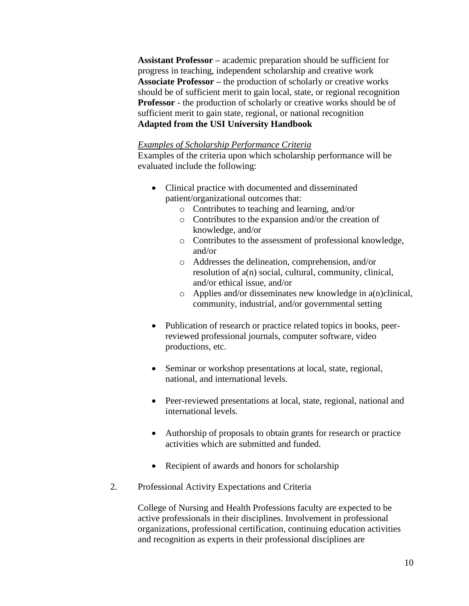**Assistant Professor –** academic preparation should be sufficient for progress in teaching, independent scholarship and creative work **Associate Professor –** the production of scholarly or creative works should be of sufficient merit to gain local, state, or regional recognition **Professor** - the production of scholarly or creative works should be of sufficient merit to gain state, regional, or national recognition **Adapted from the USI University Handbook**

#### *Examples of Scholarship Performance Criteria*

Examples of the criteria upon which scholarship performance will be evaluated include the following:

- Clinical practice with documented and disseminated patient/organizational outcomes that:
	- o Contributes to teaching and learning, and/or
	- o Contributes to the expansion and/or the creation of knowledge, and/or
	- o Contributes to the assessment of professional knowledge, and/or
	- o Addresses the delineation, comprehension, and/or resolution of a(n) social, cultural, community, clinical, and/or ethical issue, and/or
	- o Applies and/or disseminates new knowledge in a(n)clinical, community, industrial, and/or governmental setting
- Publication of research or practice related topics in books, peerreviewed professional journals, computer software, video productions, etc.
- Seminar or workshop presentations at local, state, regional, national, and international levels.
- Peer-reviewed presentations at local, state, regional, national and international levels.
- Authorship of proposals to obtain grants for research or practice activities which are submitted and funded.
- Recipient of awards and honors for scholarship
- 2. Professional Activity Expectations and Criteria

College of Nursing and Health Professions faculty are expected to be active professionals in their disciplines. Involvement in professional organizations, professional certification, continuing education activities and recognition as experts in their professional disciplines are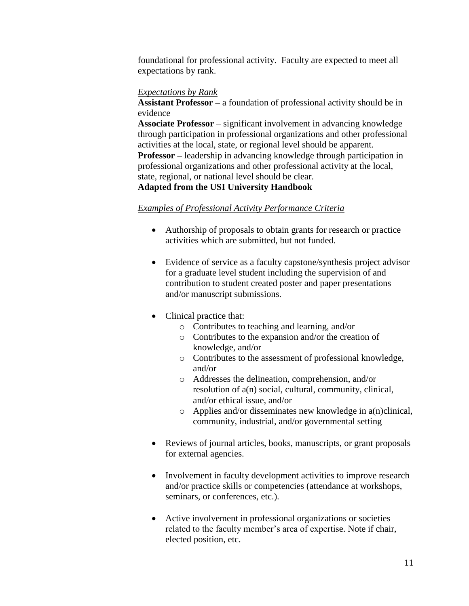foundational for professional activity. Faculty are expected to meet all expectations by rank.

#### *Expectations by Rank*

**Assistant Professor –** a foundation of professional activity should be in evidence

**Associate Professor** – significant involvement in advancing knowledge through participation in professional organizations and other professional activities at the local, state, or regional level should be apparent. **Professor –** leadership in advancing knowledge through participation in professional organizations and other professional activity at the local, state, regional, or national level should be clear.

#### **Adapted from the USI University Handbook**

#### *Examples of Professional Activity Performance Criteria*

- Authorship of proposals to obtain grants for research or practice activities which are submitted, but not funded.
- Evidence of service as a faculty capstone/synthesis project advisor for a graduate level student including the supervision of and contribution to student created poster and paper presentations and/or manuscript submissions.
- Clinical practice that:
	- o Contributes to teaching and learning, and/or
	- o Contributes to the expansion and/or the creation of knowledge, and/or
	- o Contributes to the assessment of professional knowledge, and/or
	- o Addresses the delineation, comprehension, and/or resolution of a(n) social, cultural, community, clinical, and/or ethical issue, and/or
	- o Applies and/or disseminates new knowledge in a(n)clinical, community, industrial, and/or governmental setting
- Reviews of journal articles, books, manuscripts, or grant proposals for external agencies.
- Involvement in faculty development activities to improve research and/or practice skills or competencies (attendance at workshops, seminars, or conferences, etc.).
- Active involvement in professional organizations or societies related to the faculty member's area of expertise. Note if chair, elected position, etc.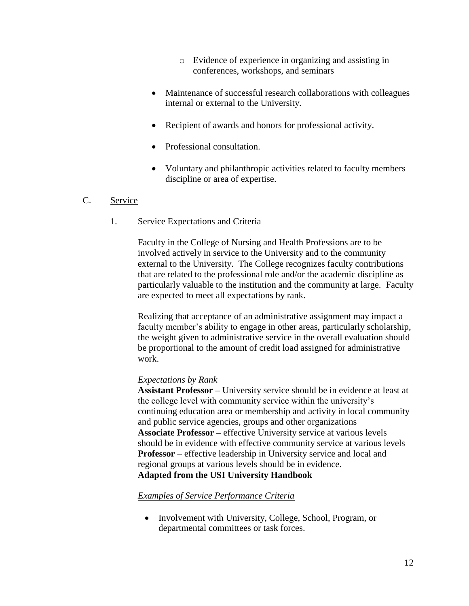- o Evidence of experience in organizing and assisting in conferences, workshops, and seminars
- Maintenance of successful research collaborations with colleagues internal or external to the University.
- Recipient of awards and honors for professional activity.
- Professional consultation.
- Voluntary and philanthropic activities related to faculty members discipline or area of expertise.

#### C. Service

1. Service Expectations and Criteria

Faculty in the College of Nursing and Health Professions are to be involved actively in service to the University and to the community external to the University. The College recognizes faculty contributions that are related to the professional role and/or the academic discipline as particularly valuable to the institution and the community at large. Faculty are expected to meet all expectations by rank.

Realizing that acceptance of an administrative assignment may impact a faculty member's ability to engage in other areas, particularly scholarship, the weight given to administrative service in the overall evaluation should be proportional to the amount of credit load assigned for administrative work.

#### *Expectations by Rank*

**Assistant Professor –** University service should be in evidence at least at the college level with community service within the university's continuing education area or membership and activity in local community and public service agencies, groups and other organizations **Associate Professor –** effective University service at various levels should be in evidence with effective community service at various levels **Professor** – effective leadership in University service and local and regional groups at various levels should be in evidence. **Adapted from the USI University Handbook**

#### *Examples of Service Performance Criteria*

• Involvement with University, College, School, Program, or departmental committees or task forces.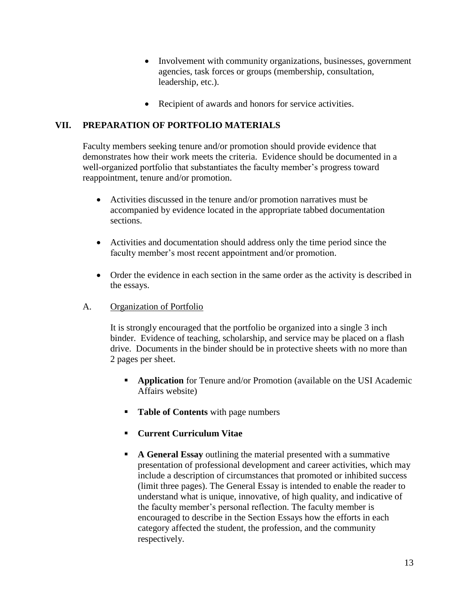- Involvement with community organizations, businesses, government agencies, task forces or groups (membership, consultation, leadership, etc.).
- Recipient of awards and honors for service activities.

#### **VII. PREPARATION OF PORTFOLIO MATERIALS**

Faculty members seeking tenure and/or promotion should provide evidence that demonstrates how their work meets the criteria. Evidence should be documented in a well-organized portfolio that substantiates the faculty member's progress toward reappointment, tenure and/or promotion.

- Activities discussed in the tenure and/or promotion narratives must be accompanied by evidence located in the appropriate tabbed documentation sections.
- Activities and documentation should address only the time period since the faculty member's most recent appointment and/or promotion.
- Order the evidence in each section in the same order as the activity is described in the essays.
- A. Organization of Portfolio

It is strongly encouraged that the portfolio be organized into a single 3 inch binder. Evidence of teaching, scholarship, and service may be placed on a flash drive. Documents in the binder should be in protective sheets with no more than 2 pages per sheet.

- **Application** for Tenure and/or Promotion (available on the USI Academic Affairs website)
- **Table of Contents** with page numbers
- **Current Curriculum Vitae**
- **A General Essay** outlining the material presented with a summative presentation of professional development and career activities, which may include a description of circumstances that promoted or inhibited success (limit three pages). The General Essay is intended to enable the reader to understand what is unique, innovative, of high quality, and indicative of the faculty member's personal reflection. The faculty member is encouraged to describe in the Section Essays how the efforts in each category affected the student, the profession, and the community respectively.